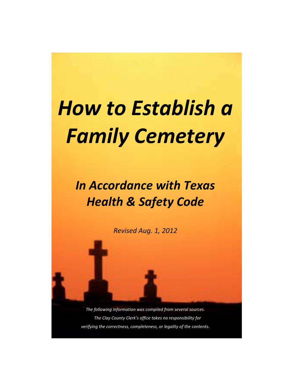## *How to Establish a Family Cemetery*

## *In Accordance with Texas Health & Safety Code*

*Revised Aug. 1, 2012*

*The following information was compiled from several sources. The Clay County Clerk's office takes no responsibility for verifying the correctness, completeness, or legality of the contents.*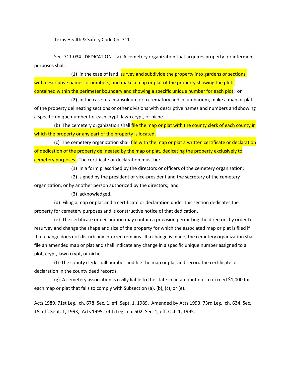Texas Health & Safety Code Ch. 711

Sec. 711.034. DEDICATION. (a) A cemetery organization that acquires property for interment purposes shall:

(1) in the case of land, survey and subdivide the property into gardens or sections, with descriptive names or numbers, and make a map or plat of the property showing the plots contained within the perimeter boundary and showing a specific unique number for each plot; or

(2) in the case of a mausoleum or a crematory and columbarium, make a map or plat of the property delineating sections or other divisions with descriptive names and numbers and showing a specific unique number for each crypt, lawn crypt, or niche.

(b) The cemetery organization shall file the map or plat with the county clerk of each county in which the property or any part of the property is located.

(c) The cemetery organization shall file with the map or plat a written certificate or declaration of dedication of the property delineated by the map or plat, dedicating the property exclusively to cemetery purposes. The certificate or declaration must be:

(1) in a form prescribed by the directors or officers of the cemetery organization;

(2) signed by the president or vice-president and the secretary of the cemetery organization, or by another person authorized by the directors; and

(3) acknowledged.

(d) Filing a map or plat and a certificate or declaration under this section dedicates the property for cemetery purposes and is constructive notice of that dedication.

(e) The certificate or declaration may contain a provision permitting the directors by order to resurvey and change the shape and size of the property for which the associated map or plat is filed if that change does not disturb any interred remains. If a change is made, the cemetery organization shall file an amended map or plat and shall indicate any change in a specific unique number assigned to a plot, crypt, lawn crypt, or niche.

(f) The county clerk shall number and file the map or plat and record the certificate or declaration in the county deed records.

(g) A cemetery association is civilly liable to the state in an amount not to exceed \$1,000 for each map or plat that fails to comply with Subsection (a), (b), (c), or (e).

Acts 1989, 71st Leg., ch. 678, Sec. 1, eff. Sept. 1, 1989. Amended by Acts 1993, 73rd Leg., ch. 634, Sec. 15, eff. Sept. 1, 1993; Acts 1995, 74th Leg., ch. 502, Sec. 1, eff. Oct. 1, 1995.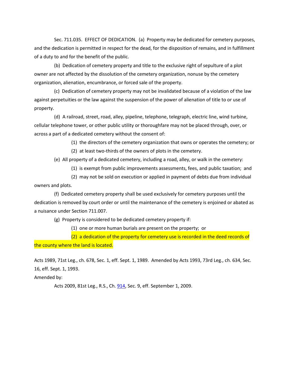Sec. 711.035. EFFECT OF DEDICATION. (a) Property may be dedicated for cemetery purposes, and the dedication is permitted in respect for the dead, for the disposition of remains, and in fulfillment of a duty to and for the benefit of the public.

(b) Dedication of cemetery property and title to the exclusive right of sepulture of a plot owner are not affected by the dissolution of the cemetery organization, nonuse by the cemetery organization, alienation, encumbrance, or forced sale of the property.

(c) Dedication of cemetery property may not be invalidated because of a violation of the law against perpetuities or the law against the suspension of the power of alienation of title to or use of property.

(d) A railroad, street, road, alley, pipeline, telephone, telegraph, electric line, wind turbine, cellular telephone tower, or other public utility or thoroughfare may not be placed through, over, or across a part of a dedicated cemetery without the consent of:

(1) the directors of the cemetery organization that owns or operates the cemetery; or

(2) at least two-thirds of the owners of plots in the cemetery.

(e) All property of a dedicated cemetery, including a road, alley, or walk in the cemetery:

(1) is exempt from public improvements assessments, fees, and public taxation; and

(2) may not be sold on execution or applied in payment of debts due from individual owners and plots.

(f) Dedicated cemetery property shall be used exclusively for cemetery purposes until the dedication is removed by court order or until the maintenance of the cemetery is enjoined or abated as a nuisance under Section 711.007.

(g) Property is considered to be dedicated cemetery property if:

(1) one or more human burials are present on the property; or

(2) a dedication of the property for cemetery use is recorded in the deed records of the county where the land is located.

Acts 1989, 71st Leg., ch. 678, Sec. 1, eff. Sept. 1, 1989. Amended by Acts 1993, 73rd Leg., ch. 634, Sec. 16, eff. Sept. 1, 1993.

Amended by:

Acts 2009, 81st Leg., R.S., Ch[. 914,](http://www.legis.state.tx.us/tlodocs/81R/billtext/html/HB02927F.HTM) Sec. 9, eff. September 1, 2009.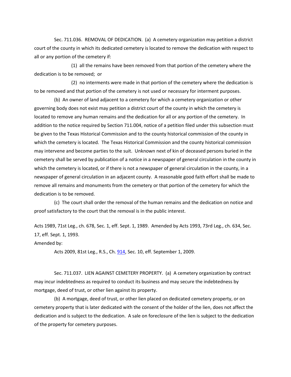Sec. 711.036. REMOVAL OF DEDICATION. (a) A cemetery organization may petition a district court of the county in which its dedicated cemetery is located to remove the dedication with respect to all or any portion of the cemetery if:

(1) all the remains have been removed from that portion of the cemetery where the dedication is to be removed; or

(2) no interments were made in that portion of the cemetery where the dedication is to be removed and that portion of the cemetery is not used or necessary for interment purposes.

(b) An owner of land adjacent to a cemetery for which a cemetery organization or other governing body does not exist may petition a district court of the county in which the cemetery is located to remove any human remains and the dedication for all or any portion of the cemetery. In addition to the notice required by Section 711.004, notice of a petition filed under this subsection must be given to the Texas Historical Commission and to the county historical commission of the county in which the cemetery is located. The Texas Historical Commission and the county historical commission may intervene and become parties to the suit. Unknown next of kin of deceased persons buried in the cemetery shall be served by publication of a notice in a newspaper of general circulation in the county in which the cemetery is located, or if there is not a newspaper of general circulation in the county, in a newspaper of general circulation in an adjacent county. A reasonable good faith effort shall be made to remove all remains and monuments from the cemetery or that portion of the cemetery for which the dedication is to be removed.

(c) The court shall order the removal of the human remains and the dedication on notice and proof satisfactory to the court that the removal is in the public interest.

Acts 1989, 71st Leg., ch. 678, Sec. 1, eff. Sept. 1, 1989. Amended by Acts 1993, 73rd Leg., ch. 634, Sec. 17, eff. Sept. 1, 1993.

Amended by:

Acts 2009, 81st Leg., R.S., Ch[. 914,](http://www.legis.state.tx.us/tlodocs/81R/billtext/html/HB02927F.HTM) Sec. 10, eff. September 1, 2009.

Sec. 711.037. LIEN AGAINST CEMETERY PROPERTY. (a) A cemetery organization by contract may incur indebtedness as required to conduct its business and may secure the indebtedness by mortgage, deed of trust, or other lien against its property.

(b) A mortgage, deed of trust, or other lien placed on dedicated cemetery property, or on cemetery property that is later dedicated with the consent of the holder of the lien, does not affect the dedication and is subject to the dedication. A sale on foreclosure of the lien is subject to the dedication of the property for cemetery purposes.